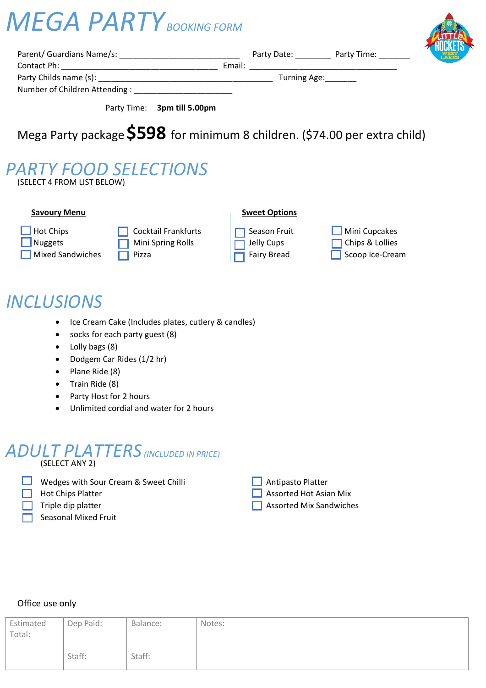# *MEGA PARTY BOOKING FORM*



| Parent/ Guardians Name/s:     |        | Party Date:        | Party Time: |
|-------------------------------|--------|--------------------|-------------|
| Contact Ph:                   | Email: |                    |             |
| Party Childs name (s):        |        | Turning Age: _____ |             |
| Number of Children Attending: |        |                    |             |

Party Time: **3pm till 5.00pm**

## Mega Party package**\$598** for minimum 8 children. (\$74.00 per extra child)

### (SELECT 4 FROM LIST BELOW) *PARTY FOOD SELECTIONS*

#### **Savoury Menu Savoury Menu**

- 
- 

**Mixed Sandwiches Pizza** Pizza Fairy Bread Scoop Ice-Cream

**Not Chips Cocktail Frankfurts Cocktail Frankfurts** Season Fruit Chips Mini Cupcakes Nuggets **In Chips Allen Chips Chips In Chips Allen** Mini Spring Rolls **Chips In Transference** Chips & Lollies



# *INCLUSIONS*

- Ice Cream Cake (Includes plates, cutlery & candles)
- socks for each party guest (8)
- Lolly bags (8)
- Dodgem Car Rides (1/2 hr)
- Plane Ride (8)
- Train Ride (8)
- Party Host for 2 hours
- Unlimited cordial and water for 2 hours

### (SELECT ANY 2) *ADULT PLATTERS(INCLUDED IN PRICE)*

- 
- **Nedges with Sour Cream & Sweet Chilli** Antipasto Platter
	-
	-
- Seasonal Mixed Fruit

| Antipasto Platte |  |
|------------------|--|
|                  |  |

- **Assorted Hot Chips Platter Assorted Hot Asian Mix** 
	- Triple dip platter Assorted Mix Sandwiches

#### Office use only

| Estimated<br>Total: | Dep Paid: | Balance: | Notes: |
|---------------------|-----------|----------|--------|
|                     | Staff:    | Staff:   |        |